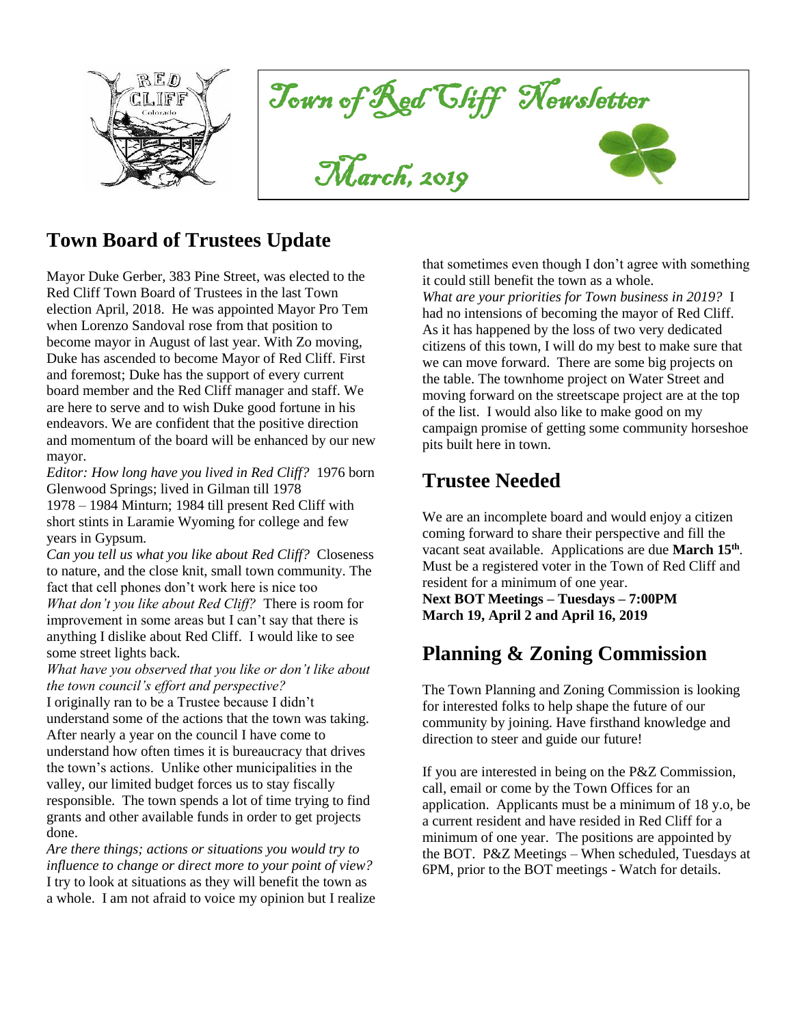

Town of Red Cliff Newsletter





#### **Town Board of Trustees Update**

Mayor Duke Gerber, 383 Pine Street, was elected to the Red Cliff Town Board of Trustees in the last Town election April, 2018. He was appointed Mayor Pro Tem when Lorenzo Sandoval rose from that position to become mayor in August of last year. With Zo moving, Duke has ascended to become Mayor of Red Cliff. First and foremost; Duke has the support of every current board member and the Red Cliff manager and staff. We are here to serve and to wish Duke good fortune in his endeavors. We are confident that the positive direction and momentum of the board will be enhanced by our new mayor.

*Editor: How long have you lived in Red Cliff?* 1976 born Glenwood Springs; lived in Gilman till 1978 1978 – 1984 Minturn; 1984 till present Red Cliff with short stints in Laramie Wyoming for college and few years in Gypsum.

*Can you tell us what you like about Red Cliff?* Closeness to nature, and the close knit, small town community. The fact that cell phones don't work here is nice too *What don't you like about Red Cliff?* There is room for improvement in some areas but I can't say that there is anything I dislike about Red Cliff. I would like to see some street lights back.

*What have you observed that you like or don't like about the town council's effort and perspective?* 

I originally ran to be a Trustee because I didn't understand some of the actions that the town was taking. After nearly a year on the council I have come to understand how often times it is bureaucracy that drives the town's actions. Unlike other municipalities in the valley, our limited budget forces us to stay fiscally responsible. The town spends a lot of time trying to find grants and other available funds in order to get projects done.

*Are there things; actions or situations you would try to influence to change or direct more to your point of view?*  I try to look at situations as they will benefit the town as a whole. I am not afraid to voice my opinion but I realize that sometimes even though I don't agree with something it could still benefit the town as a whole.

*What are your priorities for Town business in 2019?* I had no intensions of becoming the mayor of Red Cliff. As it has happened by the loss of two very dedicated citizens of this town, I will do my best to make sure that we can move forward. There are some big projects on the table. The townhome project on Water Street and moving forward on the streetscape project are at the top of the list. I would also like to make good on my campaign promise of getting some community horseshoe pits built here in town.

#### **Trustee Needed**

We are an incomplete board and would enjoy a citizen coming forward to share their perspective and fill the vacant seat available. Applications are due **March 15th** . Must be a registered voter in the Town of Red Cliff and resident for a minimum of one year.

**Next BOT Meetings – Tuesdays – 7:00PM March 19, April 2 and April 16, 2019**

#### **Planning & Zoning Commission**

The Town Planning and Zoning Commission is looking for interested folks to help shape the future of our community by joining. Have firsthand knowledge and direction to steer and guide our future!

If you are interested in being on the P&Z Commission, call, email or come by the Town Offices for an application. Applicants must be a minimum of 18 y.o, be a current resident and have resided in Red Cliff for a minimum of one year. The positions are appointed by the BOT. P&Z Meetings – When scheduled, Tuesdays at 6PM, prior to the BOT meetings - Watch for details.